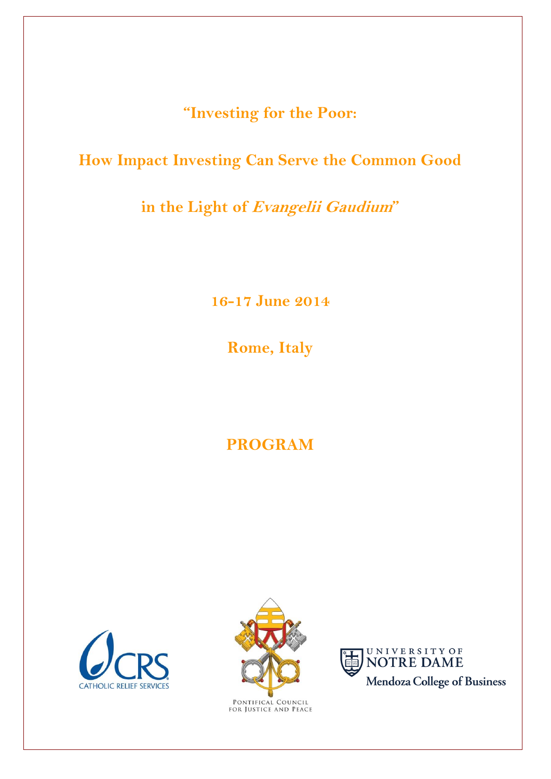**"Investing for the Poor:**

# **How Impact Investing Can Serve the Common Good**

**in the Light of Evangelii Gaudium"**

**16-17 June 2014**

**Rome, Italy**

# **PROGRAM**





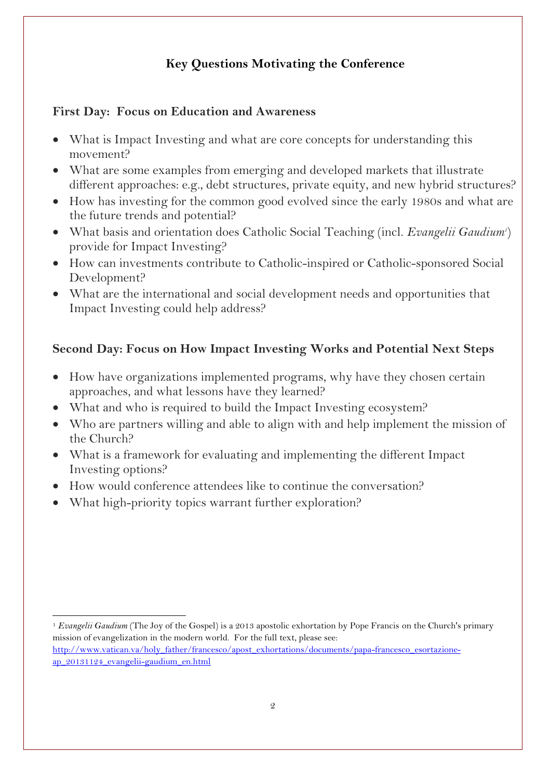## **Key Questions Motivating the Conference**

### **First Day: Focus on Education and Awareness**

- What is Impact Investing and what are core concepts for understanding this movement?
- What are some examples from emerging and developed markets that illustrate different approaches: e.g., debt structures, private equity, and new hybrid structures?
- How has investing for the common good evolved since the early 1980s and what are the future trends and potential?
- What basis and orientation does Catholic Social Teaching (incl. *Evangelii Gaudium<sup>1</sup>* ) provide for Impact Investing?
- How can investments contribute to Catholic-inspired or Catholic-sponsored Social Development?
- What are the international and social development needs and opportunities that Impact Investing could help address?

### **Second Day: Focus on How Impact Investing Works and Potential Next Steps**

- How have organizations implemented programs, why have they chosen certain approaches, and what lessons have they learned?
- What and who is required to build the Impact Investing ecosystem?
- Who are partners willing and able to align with and help implement the mission of the Church?
- What is a framework for evaluating and implementing the different Impact Investing options?
- How would conference attendees like to continue the conversation?
- What high-priority topics warrant further exploration?

 $\ddot{\phantom{a}}$ 

<sup>1</sup> *Evangelii Gaudium* (The Joy of the Gospel) is a 2013 apostolic exhortation by Pope Francis on the Church's primary mission of evangelization in the modern world. For the full text, please see:

[http://www.vatican.va/holy\\_father/francesco/apost\\_exhortations/documents/papa-francesco\\_esortazione](http://www.vatican.va/holy_father/francesco/apost_exhortations/documents/papa-francesco_esortazione-ap_20131124_evangelii-gaudium_en.html)[ap\\_20131124\\_evangelii-gaudium\\_en.html](http://www.vatican.va/holy_father/francesco/apost_exhortations/documents/papa-francesco_esortazione-ap_20131124_evangelii-gaudium_en.html)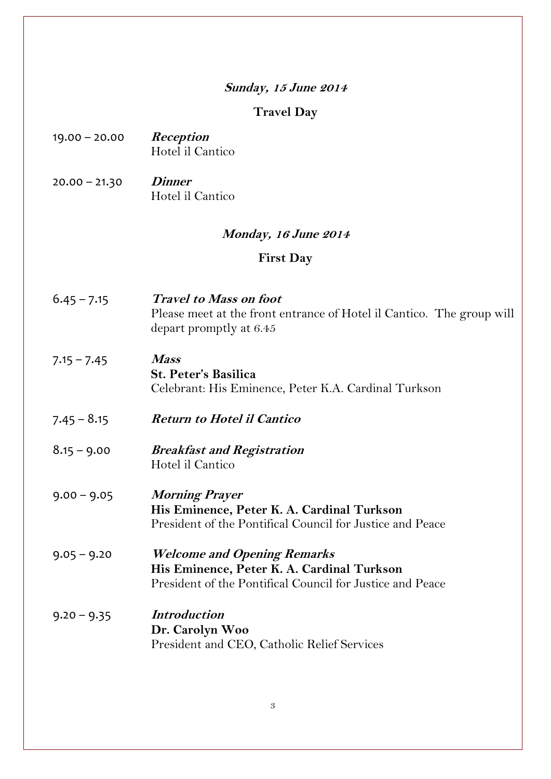#### **Sunday, 15 June 2014**

#### **Travel Day**

- 19.00 20.00 **Reception** Hotel il Cantico
- 20.00 21.30 **Dinner** Hotel il Cantico

#### **Monday, 16 June <sup>2014</sup>**

#### **First Day**

- 6.45 7.15 **Travel to Mass on foot** Please meet at the front entrance of Hotel il Cantico. The group will depart promptly at 6.45
- 7.15 7.45 **Mass St. Peter's Basilica** Celebrant: His Eminence, Peter K.A. Cardinal Turkson
- 7.45 8.15 **Return to Hotel il Cantico**
- 8.15 9.00 **Breakfast and Registration** Hotel il Cantico
- 9.00 9.05 **Morning Prayer His Eminence, Peter K. A. Cardinal Turkson** President of the Pontifical Council for Justice and Peace
- 9.05 9.20 **Welcome and Opening Remarks His Eminence, Peter K. A. Cardinal Turkson** President of the Pontifical Council for Justice and Peace
- 9.20 9.35 **Introduction Dr. Carolyn Woo** President and CEO, Catholic Relief Services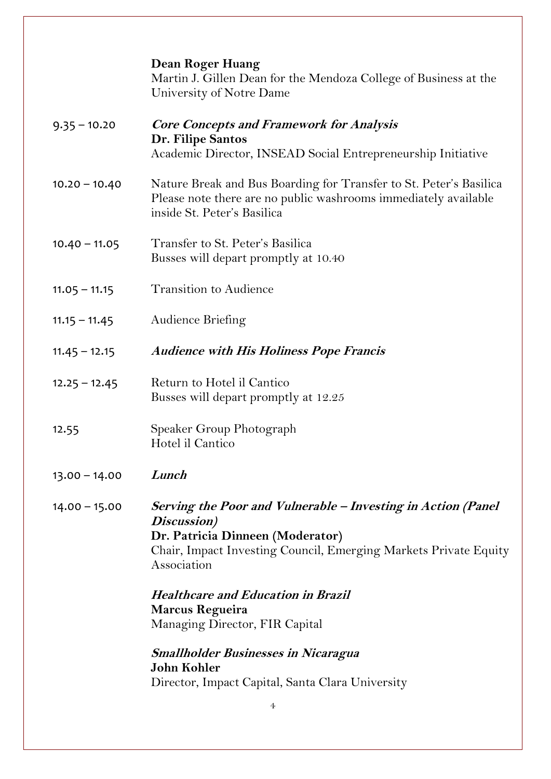|                 | <b>Dean Roger Huang</b><br>Martin J. Gillen Dean for the Mendoza College of Business at the<br>University of Notre Dame                                                                            |
|-----------------|----------------------------------------------------------------------------------------------------------------------------------------------------------------------------------------------------|
| $9.35 - 10.20$  | <b>Core Concepts and Framework for Analysis</b><br>Dr. Filipe Santos<br>Academic Director, INSEAD Social Entrepreneurship Initiative                                                               |
| $10.20 - 10.40$ | Nature Break and Bus Boarding for Transfer to St. Peter's Basilica<br>Please note there are no public washrooms immediately available<br>inside St. Peter's Basilica                               |
| $10.40 - 11.05$ | Transfer to St. Peter's Basilica<br>Busses will depart promptly at 10.40                                                                                                                           |
| $11.05 - 11.15$ | <b>Transition to Audience</b>                                                                                                                                                                      |
| $11.15 - 11.45$ | Audience Briefing                                                                                                                                                                                  |
| $11.45 - 12.15$ | <b>Audience with His Holiness Pope Francis</b>                                                                                                                                                     |
| $12.25 - 12.45$ | Return to Hotel il Cantico<br>Busses will depart promptly at 12.25                                                                                                                                 |
| 12.55           | Speaker Group Photograph<br>Hotel il Cantico                                                                                                                                                       |
| $13.00 - 14.00$ | Lunch                                                                                                                                                                                              |
| $14.00 - 15.00$ | Serving the Poor and Vulnerable – Investing in Action (Panel<br>Discussion)<br>Dr. Patricia Dinneen (Moderator)<br>Chair, Impact Investing Council, Emerging Markets Private Equity<br>Association |
|                 | <b>Healthcare and Education in Brazil</b><br><b>Marcus Regueira</b><br>Managing Director, FIR Capital                                                                                              |
|                 | <b>Smallholder Businesses in Nicaragua</b><br>John Kohler<br>Director, Impact Capital, Santa Clara University                                                                                      |
|                 | 4                                                                                                                                                                                                  |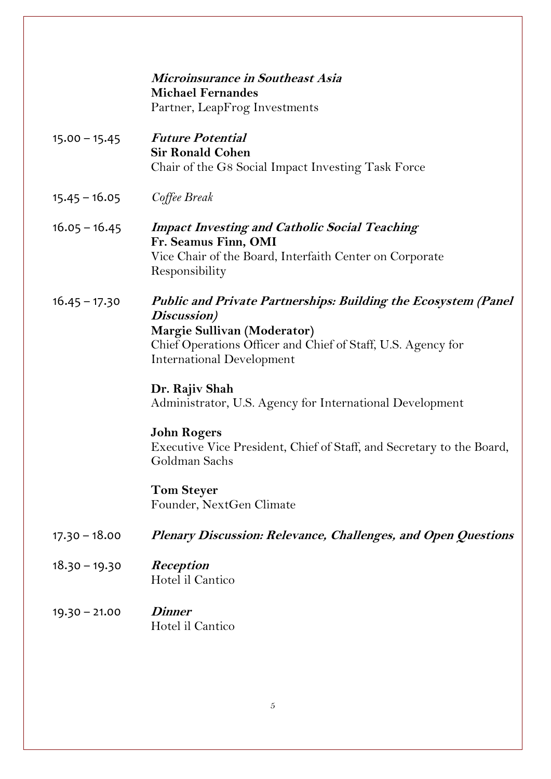|                 | Microinsurance in Southeast Asia                                                                         |
|-----------------|----------------------------------------------------------------------------------------------------------|
|                 | <b>Michael Fernandes</b>                                                                                 |
|                 | Partner, LeapFrog Investments                                                                            |
| $15.00 - 15.45$ | <b>Future Potential</b><br><b>Sir Ronald Cohen</b><br>Chair of the G8 Social Impact Investing Task Force |
| $15.45 - 16.05$ | Coffee Break                                                                                             |
| $16.05 - 16.45$ | <b>Impact Investing and Catholic Social Teaching</b><br>Fr. Seamus Finn, OMI                             |
|                 | Vice Chair of the Board, Interfaith Center on Corporate<br>Responsibility                                |
| $16.45 - 17.30$ | <b>Public and Private Partnerships: Building the Ecosystem (Panel)</b><br>Discussion)                    |
|                 | Margie Sullivan (Moderator)                                                                              |
|                 | Chief Operations Officer and Chief of Staff, U.S. Agency for<br><b>International Development</b>         |
|                 | Dr. Rajiv Shah<br>Administrator, U.S. Agency for International Development                               |
|                 | <b>John Rogers</b>                                                                                       |
|                 | Executive Vice President, Chief of Staff, and Secretary to the Board,<br>Goldman Sachs                   |
|                 | <b>Tom Steyer</b>                                                                                        |
|                 | Founder, NextGen Climate                                                                                 |
| $17.30 - 18.00$ | Plenary Discussion: Relevance, Challenges, and Open Questions                                            |
| $18.30 - 19.30$ | Reception<br>Hotel il Cantico                                                                            |
| $19.30 - 21.00$ | <b>Dinner</b><br>Hotel il Cantico                                                                        |
|                 |                                                                                                          |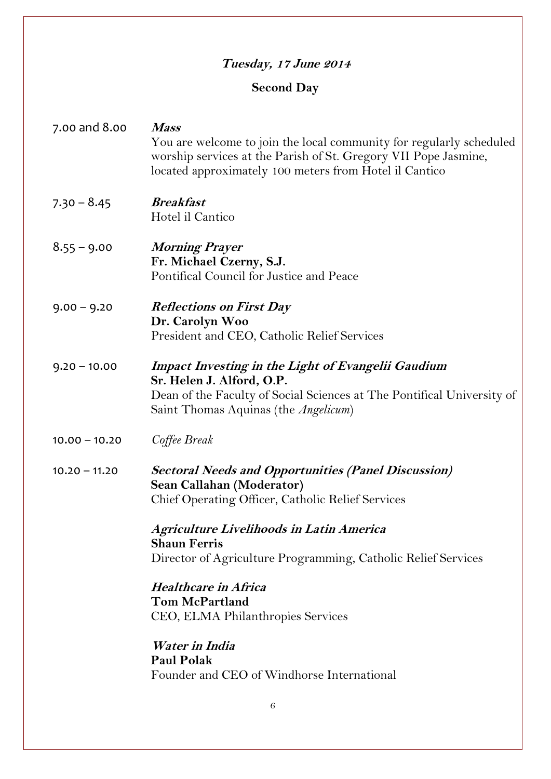## **Tuesday, 17 June 2014**

## **Second Day**

| 7.00 and 8.00   | <b>Mass</b><br>You are welcome to join the local community for regularly scheduled<br>worship services at the Parish of St. Gregory VII Pope Jasmine,<br>located approximately 100 meters from Hotel il Cantico |
|-----------------|-----------------------------------------------------------------------------------------------------------------------------------------------------------------------------------------------------------------|
| $7.30 - 8.45$   | <b>Breakfast</b><br>Hotel il Cantico                                                                                                                                                                            |
| $8.55 - 9.00$   | <b>Morning Prayer</b><br>Fr. Michael Czerny, S.J.<br>Pontifical Council for Justice and Peace                                                                                                                   |
| $9.00 - 9.20$   | <b>Reflections on First Day</b><br>Dr. Carolyn Woo<br>President and CEO, Catholic Relief Services                                                                                                               |
| $9.20 - 10.00$  | <b>Impact Investing in the Light of Evangelii Gaudium</b><br>Sr. Helen J. Alford, O.P.<br>Dean of the Faculty of Social Sciences at The Pontifical University of<br>Saint Thomas Aquinas (the Angelicum)        |
| $10.00 - 10.20$ | Coffee Break                                                                                                                                                                                                    |
| $10.20 - 11.20$ | <b>Sectoral Needs and Opportunities (Panel Discussion)</b><br>Sean Callahan (Moderator)<br>Chief Operating Officer, Catholic Relief Services                                                                    |
|                 | Agriculture Livelihoods in Latin America<br><b>Shaun Ferris</b><br>Director of Agriculture Programming, Catholic Relief Services                                                                                |
|                 | <b>Healthcare in Africa</b><br><b>Tom McPartland</b><br>CEO, ELMA Philanthropies Services<br>Water in India<br><b>Paul Polak</b><br>Founder and CEO of Windhorse International                                  |
|                 |                                                                                                                                                                                                                 |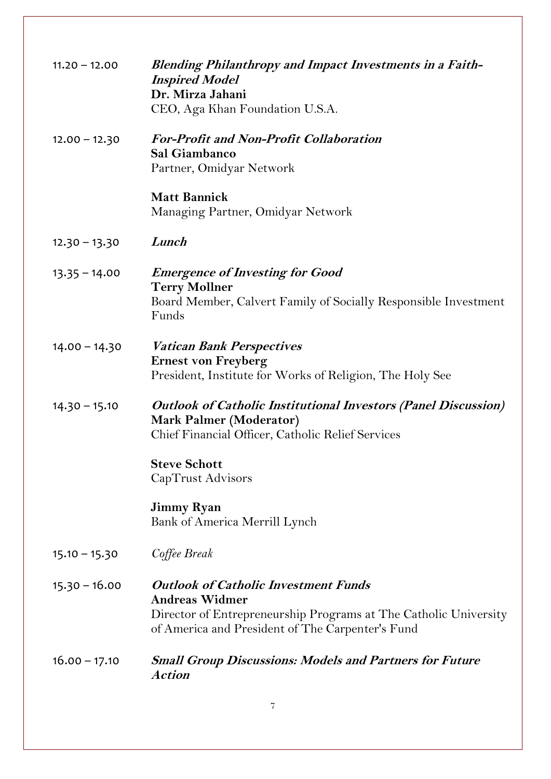| $11.20 - 12.00$ | <b>Blending Philanthropy and Impact Investments in a Faith-</b><br><b>Inspired Model</b><br>Dr. Mirza Jahani<br>CEO, Aga Khan Foundation U.S.A.                                              |
|-----------------|----------------------------------------------------------------------------------------------------------------------------------------------------------------------------------------------|
| $12.00 - 12.30$ | <b>For-Profit and Non-Profit Collaboration</b><br>Sal Giambanco<br>Partner, Omidyar Network                                                                                                  |
|                 | <b>Matt Bannick</b><br>Managing Partner, Omidyar Network                                                                                                                                     |
| $12.30 - 13.30$ | Lunch                                                                                                                                                                                        |
| $13.35 - 14.00$ | <b>Emergence of Investing for Good</b><br><b>Terry Mollner</b><br>Board Member, Calvert Family of Socially Responsible Investment<br>Funds                                                   |
| $14.00 - 14.30$ | <b>Vatican Bank Perspectives</b><br><b>Ernest von Freyberg</b><br>President, Institute for Works of Religion, The Holy See                                                                   |
| $14.30 - 15.10$ | <b>Outlook of Catholic Institutional Investors (Panel Discussion)</b><br><b>Mark Palmer (Moderator)</b><br>Chief Financial Officer, Catholic Relief Services                                 |
|                 | <b>Steve Schott</b><br>CapTrust Advisors                                                                                                                                                     |
|                 | <b>Jimmy Ryan</b><br>Bank of America Merrill Lynch                                                                                                                                           |
| $15.10 - 15.30$ | Coffee Break                                                                                                                                                                                 |
| $15.30 - 16.00$ | <b>Outlook of Catholic Investment Funds</b><br><b>Andreas Widmer</b><br>Director of Entrepreneurship Programs at The Catholic University<br>of America and President of The Carpenter's Fund |
| $16.00 - 17.10$ | <b>Small Group Discussions: Models and Partners for Future</b><br><b>Action</b>                                                                                                              |